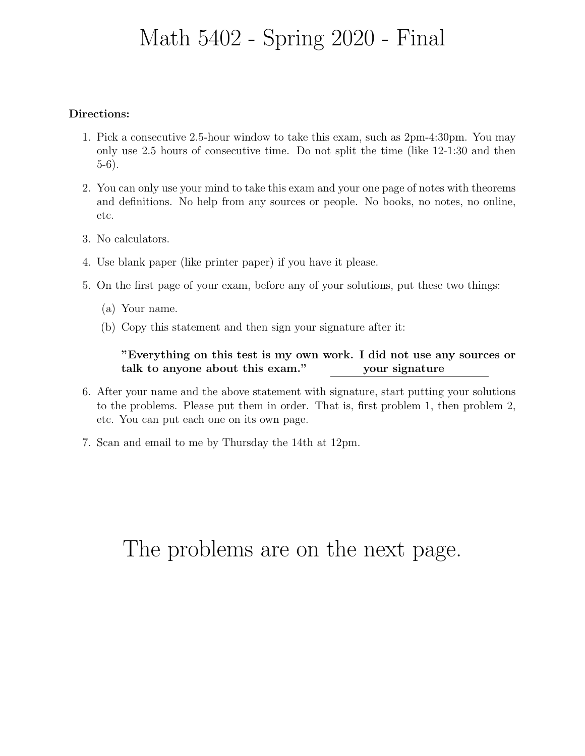## Math 5402 - Spring 2020 - Final

### Directions:

- 1. Pick a consecutive 2.5-hour window to take this exam, such as 2pm-4:30pm. You may only use 2.5 hours of consecutive time. Do not split the time (like 12-1:30 and then 5-6).
- 2. You can only use your mind to take this exam and your one page of notes with theorems and definitions. No help from any sources or people. No books, no notes, no online, etc.
- 3. No calculators.
- 4. Use blank paper (like printer paper) if you have it please.
- 5. On the first page of your exam, before any of your solutions, put these two things:
	- (a) Your name.
	- (b) Copy this statement and then sign your signature after it:

### "Everything on this test is my own work. I did not use any sources or talk to anyone about this exam." your signature

- 6. After your name and the above statement with signature, start putting your solutions to the problems. Please put them in order. That is, first problem 1, then problem 2, etc. You can put each one on its own page.
- 7. Scan and email to me by Thursday the 14th at 12pm.

# The problems are on the next page.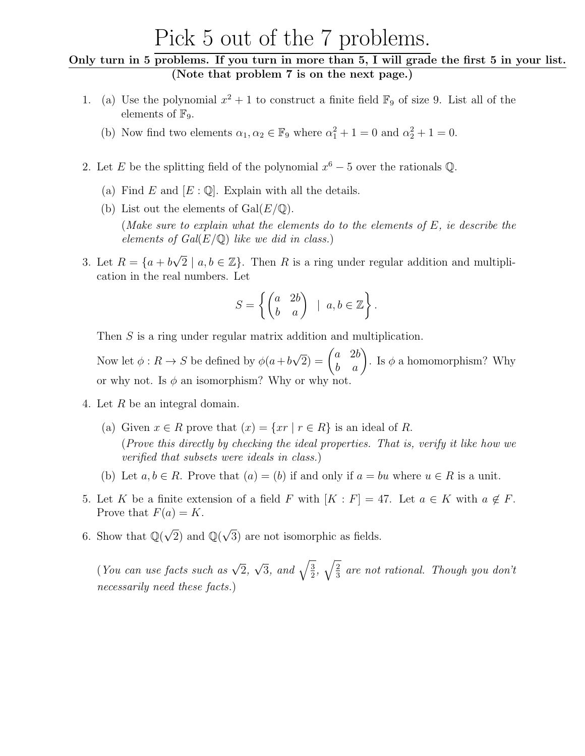### Pick 5 out of the 7 problems.

### Only turn in 5 problems. If you turn in more than 5, I will grade the first 5 in your list. (Note that problem 7 is on the next page.)

- 1. (a) Use the polynomial  $x^2 + 1$  to construct a finite field  $\mathbb{F}_9$  of size 9. List all of the elements of  $\mathbb{F}_9$ .
	- (b) Now find two elements  $\alpha_1, \alpha_2 \in \mathbb{F}_9$  where  $\alpha_1^2 + 1 = 0$  and  $\alpha_2^2 + 1 = 0$ .
- 2. Let E be the splitting field of the polynomial  $x^6 5$  over the rationals Q.
	- (a) Find E and  $[E: \mathbb{Q}]$ . Explain with all the details.
	- (b) List out the elements of  $Gal(E/\mathbb{Q})$ .

(Make sure to explain what the elements do to the elements of  $E$ , ie describe the elements of  $Gal(E/\mathbb{Q})$  like we did in class.)

3. Let  $R = \{a + b\}$  $\sqrt{2} \mid a, b \in \mathbb{Z}$ . Then R is a ring under regular addition and multiplication in the real numbers. Let

$$
S = \left\{ \begin{pmatrix} a & 2b \\ b & a \end{pmatrix} \mid a, b \in \mathbb{Z} \right\}.
$$

Then S is a ring under regular matrix addition and multiplication.

Now let  $\phi: R \to S$  be defined by  $\phi(a+b)$  $\sqrt{2}$ ) =  $\begin{pmatrix} a & 2b \\ b & a \end{pmatrix}$ . Is  $\phi$  a homomorphism? Why or why not. Is  $\phi$  an isomorphism? Why or why not.

- 4. Let R be an integral domain.
	- (a) Given  $x \in R$  prove that  $(x) = \{xr \mid r \in R\}$  is an ideal of R. (Prove this directly by checking the ideal properties. That is, verify it like how we verified that subsets were ideals in class.)
	- (b) Let  $a, b \in R$ . Prove that  $(a) = (b)$  if and only if  $a = bu$  where  $u \in R$  is a unit.
- 5. Let K be a finite extension of a field F with  $[K : F] = 47$ . Let  $a \in K$  with  $a \notin F$ . Prove that  $F(a) = K$ .
- 6. Show that  $\mathbb{Q}(\sqrt{2})$  and  $\mathbb{Q}(\sqrt{2})$ 3) are not isomorphic as fields.

(You can use facts such as  $\sqrt{2}$ ,  $\sqrt{3}$ , and  $\sqrt{\frac{3}{2}}$  $\frac{3}{2}, \sqrt{\frac{2}{3}}$  $\frac{2}{3}$  are not rational. Though you don't necessarily need these facts.)